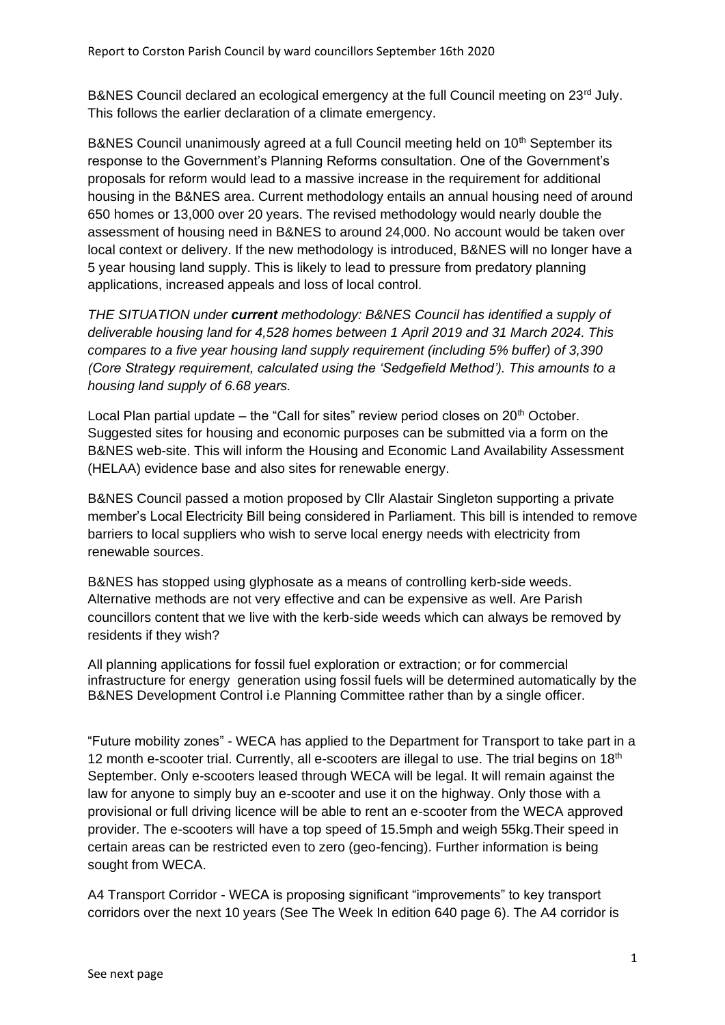B&NES Council declared an ecological emergency at the full Council meeting on 23<sup>rd</sup> July. This follows the earlier declaration of a climate emergency.

B&NES Council unanimously agreed at a full Council meeting held on 10<sup>th</sup> September its response to the Government's Planning Reforms consultation. One of the Government's proposals for reform would lead to a massive increase in the requirement for additional housing in the B&NES area. Current methodology entails an annual housing need of around 650 homes or 13,000 over 20 years. The revised methodology would nearly double the assessment of housing need in B&NES to around 24,000. No account would be taken over local context or delivery. If the new methodology is introduced, B&NES will no longer have a 5 year housing land supply. This is likely to lead to pressure from predatory planning applications, increased appeals and loss of local control.

*THE SITUATION under current methodology: B&NES Council has identified a supply of deliverable housing land for 4,528 homes between 1 April 2019 and 31 March 2024. This compares to a five year housing land supply requirement (including 5% buffer) of 3,390 (Core Strategy requirement, calculated using the 'Sedgefield Method'). This amounts to a housing land supply of 6.68 years.*

Local Plan partial update – the "Call for sites" review period closes on  $20<sup>th</sup>$  October. Suggested sites for housing and economic purposes can be submitted via a form on the B&NES web-site. This will inform the Housing and Economic Land Availability Assessment (HELAA) evidence base and also sites for renewable energy.

B&NES Council passed a motion proposed by Cllr Alastair Singleton supporting a private member's Local Electricity Bill being considered in Parliament. This bill is intended to remove barriers to local suppliers who wish to serve local energy needs with electricity from renewable sources.

B&NES has stopped using glyphosate as a means of controlling kerb-side weeds. Alternative methods are not very effective and can be expensive as well. Are Parish councillors content that we live with the kerb-side weeds which can always be removed by residents if they wish?

All planning applications for fossil fuel exploration or extraction; or for commercial infrastructure for energy generation using fossil fuels will be determined automatically by the B&NES Development Control i.e Planning Committee rather than by a single officer.

"Future mobility zones" - WECA has applied to the Department for Transport to take part in a 12 month e-scooter trial. Currently, all e-scooters are illegal to use. The trial begins on  $18<sup>th</sup>$ September. Only e-scooters leased through WECA will be legal. It will remain against the law for anyone to simply buy an e-scooter and use it on the highway. Only those with a provisional or full driving licence will be able to rent an e-scooter from the WECA approved provider. The e-scooters will have a top speed of 15.5mph and weigh 55kg.Their speed in certain areas can be restricted even to zero (geo-fencing). Further information is being sought from WECA.

A4 Transport Corridor - WECA is proposing significant "improvements" to key transport corridors over the next 10 years (See The Week In edition 640 page 6). The A4 corridor is